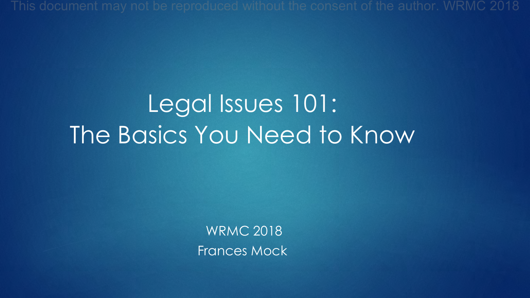# Legal Issues 101: The Basics You Need to Know

WRMC 2018 Frances Mock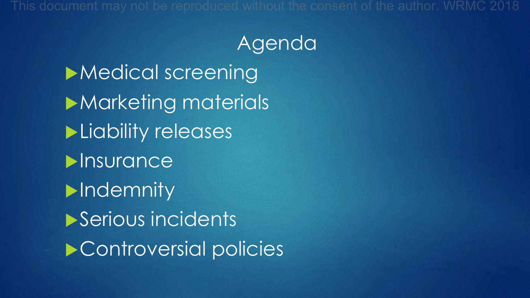#### Agenda

 $\blacktriangleright$  Medical screening **Marketing materials**  $\blacktriangleright$  Liability releases  $\blacktriangleright$ Insurance  $\blacktriangleright$ Indemnity Serious incidents  $\blacktriangleright$  Controversial policies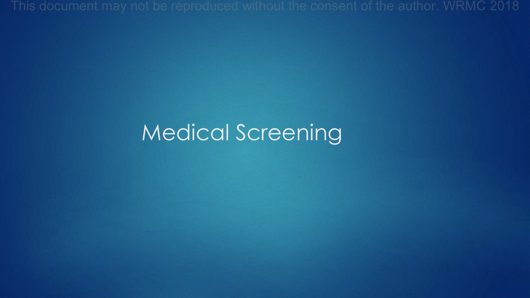## Medical Screening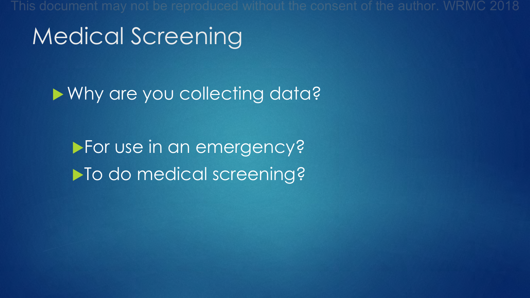Medical Screening

▶ Why are you collecting data?

▶ For use in an emergency? ▶ To do medical screening?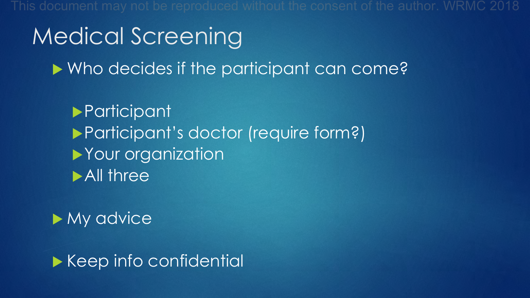# Medical Screening

**Nho decides if the participant can come?** 

**Participant Participant's doctor (require form?)**  $\blacktriangleright$  Your organization  $\blacktriangleright$  All three

#### $\blacktriangleright$  My advice

 $\blacktriangleright$  Keep info confidential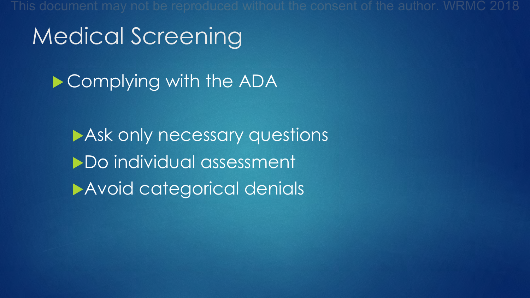## Medical Screening

 $\blacktriangleright$  Complying with the ADA

Ask only necessary questions ▶ Do individual assessment Avoid categorical denials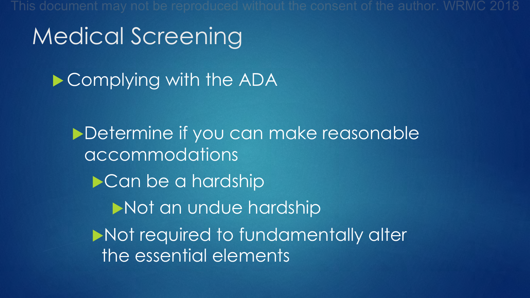## Medical Screening

 $\blacktriangleright$  Complying with the ADA

Determine if you can make reasonable accommodations  $\blacktriangleright$  Can be a hardship Not an undue hardship Not required to fundamentally alter the essential elements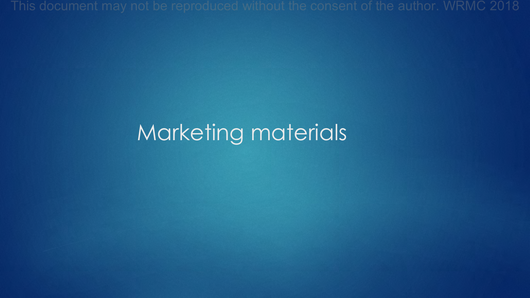### Marketing materials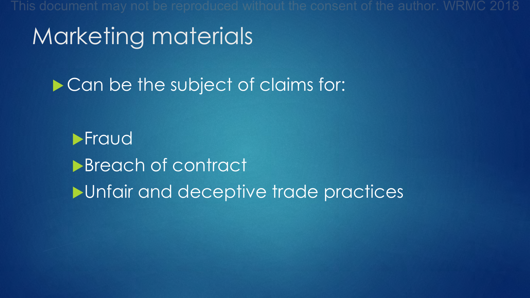## Marketing materials

Can be the subject of claims for:

 $\blacktriangleright$ Fraud **Breach of contract**  $\blacktriangleright$  Unfair and deceptive trade practices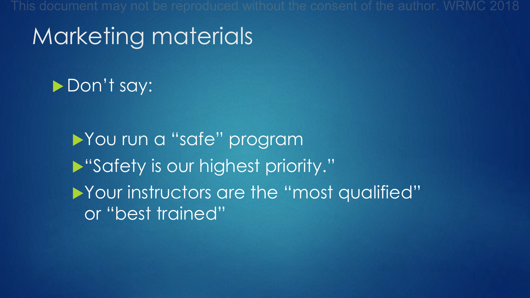## Marketing materials

#### Don't say:

You run a "safe" program **N** "Safety is our highest priority." Your instructors are the "most qualified" or "best trained"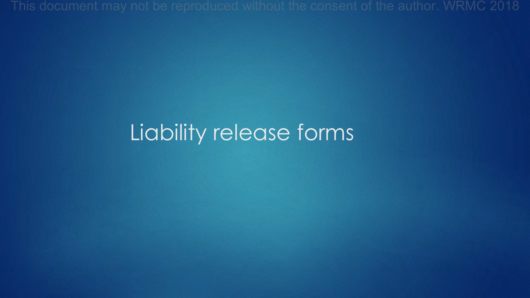### Liability release forms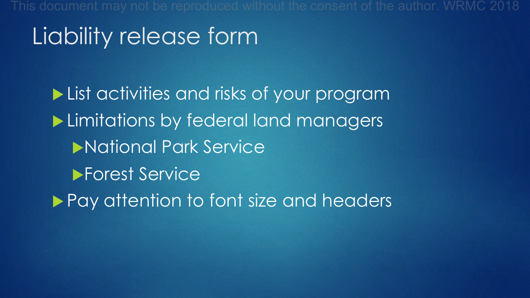## Liability release form

**List activities and risks of your program Limitations by federal land managers National Park Service Forest Service Pay attention to font size and headers**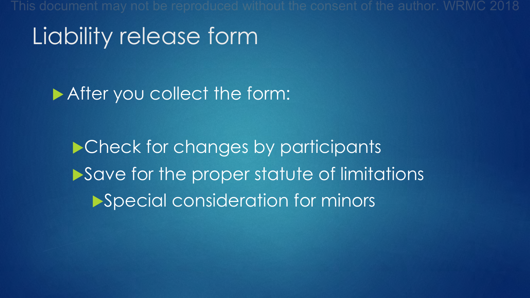## Liability release form

After you collect the form:

▶ Check for changes by participants  $\blacktriangleright$  Save for the proper statute of limitations Special consideration for minors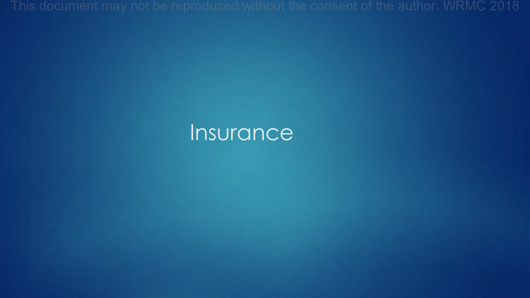#### Insurance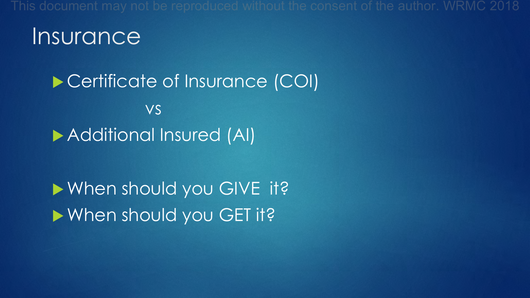#### **Insurance**

▶ Certificate of Insurance (COI) vs **Additional Insured (AI)** 

When should you GIVE it?  $\blacktriangleright$  When should you GET it?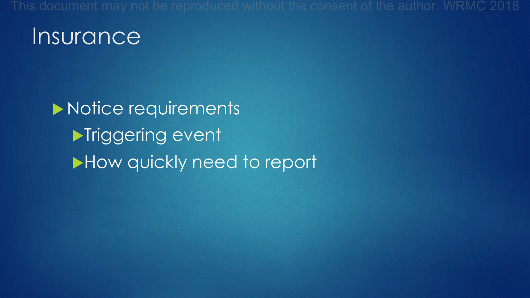#### **Insurance**

Motice requirements **Niggering event** How quickly need to report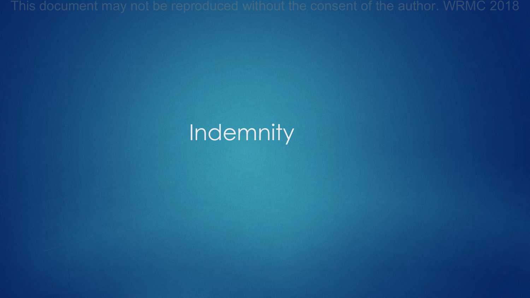## **Indemnity**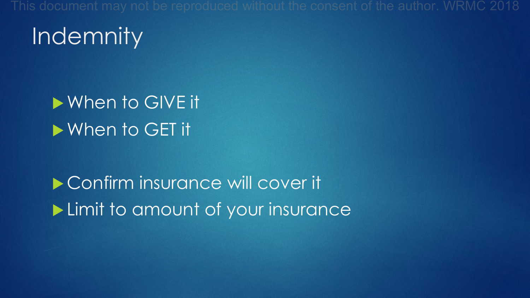## **Indemnity**

#### $\blacktriangleright$  When to GIVE it  $\blacktriangleright$  When to GET it

▶ Confirm insurance will cover it  $\blacktriangleright$  Limit to amount of your insurance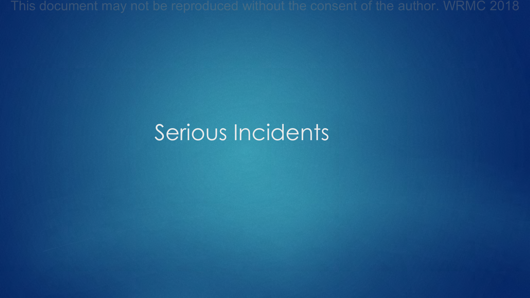### Serious Incidents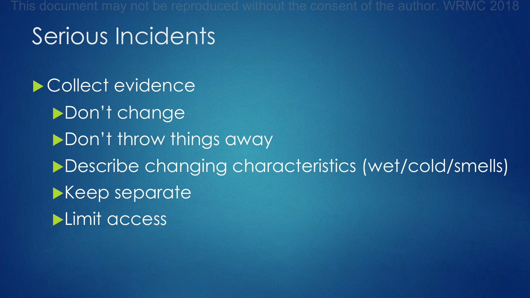## Serious Incidents

Collect evidence Don't change Don't throw things away ▶Describe changing characteristics (wet/cold/smells) Keep separate  $\blacktriangleright$ Limit access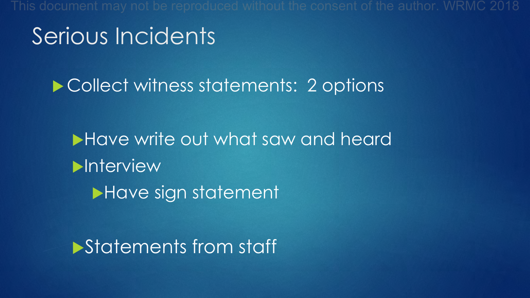## Serious Incidents

Collect witness statements: 2 options

**In Have write out what saw and heard**  $\blacktriangleright$ Interview Have sign statement

**Statements from staff**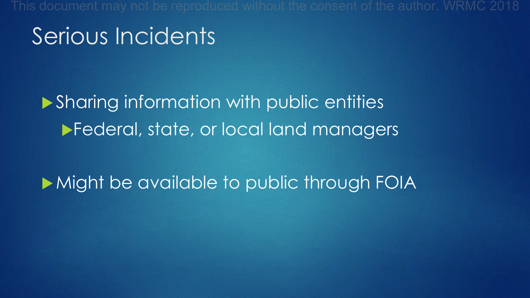## Serious Incidents

#### $\blacktriangleright$  Sharing information with public entities **IFederal, state, or local land managers**

#### Might be available to public through FOIA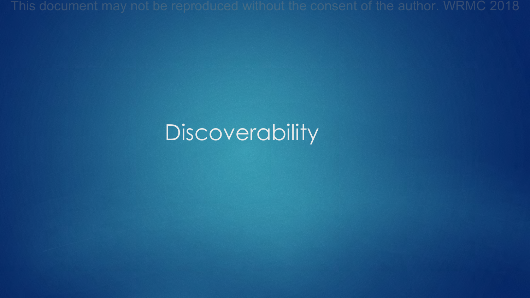## **Discoverability**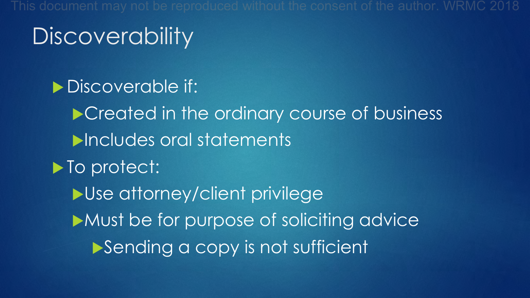# **Discoverability**

Discoverable if: Created in the ordinary course of business **Dincludes oral statements**  $\blacktriangleright$  To protect:  $\blacktriangleright$ Use attorney/client privilege  $\blacktriangleright$  Must be for purpose of soliciting advice Sending a copy is not sufficient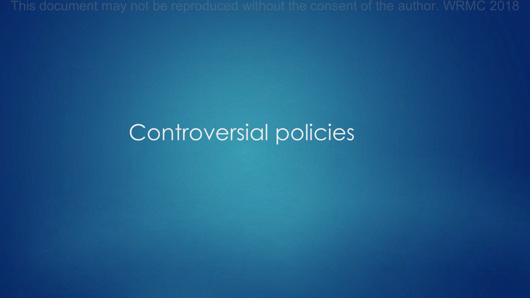### Controversial policies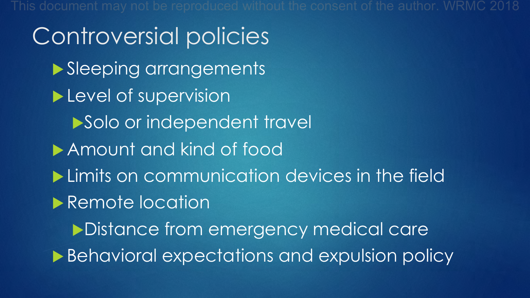Controversial policies Sleeping arrangements  $\blacktriangleright$  Level of supervision Solo or independent travel **Amount and kind of food**  $\blacktriangleright$  Limits on communication devices in the field Remote location Distance from emergency medical care ▶ Behavioral expectations and expulsion policy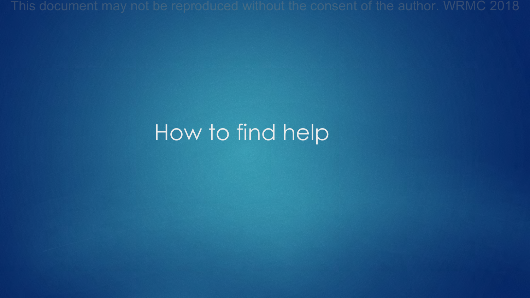#### How to find help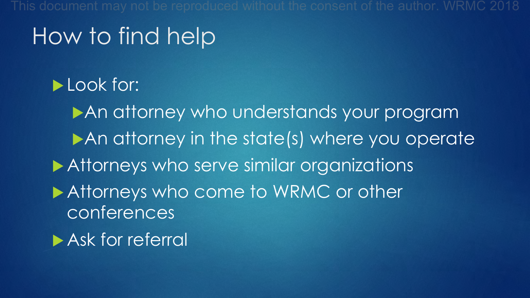## How to find help

Look for:

An attorney who understands your program An attorney in the state(s) where you operate Attorneys who serve similar organizations Attorneys who come to WRMC or other conferences  $\blacktriangleright$  Ask for referral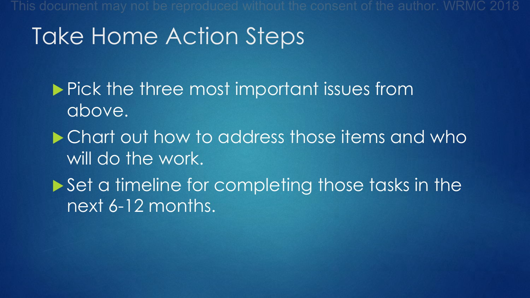## Take Home Action Steps

 $\blacktriangleright$  Pick the three most important issues from above.

▶ Chart out how to address those items and who will do the work.

 $\triangleright$  Set a timeline for completing those tasks in the next 6-12 months.